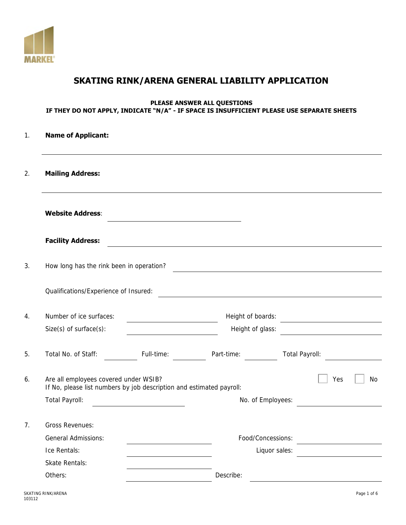

# **SKATING RINK/ARENA GENERAL LIABILITY APPLICATION**

# **PLEASE ANSWER ALL QUESTIONS IF THEY DO NOT APPLY, INDICATE "N/A" - IF SPACE IS INSUFFICIENT PLEASE USE SEPARATE SHEETS**

|         | <b>Name of Applicant:</b>                               |                                                                      |                  |                                                                         |
|---------|---------------------------------------------------------|----------------------------------------------------------------------|------------------|-------------------------------------------------------------------------|
|         | <b>Mailing Address:</b>                                 |                                                                      |                  |                                                                         |
|         | <b>Website Address:</b>                                 |                                                                      |                  |                                                                         |
|         | <b>Facility Address:</b>                                |                                                                      |                  |                                                                         |
|         | How long has the rink been in operation?                |                                                                      |                  | <u> 1980 - Johann Barbara, martxa alemaniar arg</u>                     |
|         | Qualifications/Experience of Insured:                   |                                                                      |                  |                                                                         |
|         | Number of ice surfaces:<br>$Size(s)$ of surface $(s)$ : | <u> 1980 - Johann Barbara, martxa alemaniar a</u>                    | Height of glass: | Height of boards:<br><u> 1989 - Andrea Brand, Amerikaansk politik (</u> |
|         | Total No. of Staff:                                     | Full-time:                                                           | Part-time:       | Total Payroll:                                                          |
|         | Are all employees covered under WSIB?                   | If No, please list numbers by job description and estimated payroll: |                  | Yes<br><b>No</b>                                                        |
|         | Total Payroll:                                          |                                                                      |                  | No. of Employees:                                                       |
|         | Gross Revenues:                                         |                                                                      |                  |                                                                         |
|         | General Admissions:                                     |                                                                      |                  | Food/Concessions:                                                       |
|         | Ice Rentals:                                            |                                                                      |                  | Liquor sales:                                                           |
|         | Skate Rentals:                                          |                                                                      |                  |                                                                         |
| Others: |                                                         |                                                                      | Describe:        |                                                                         |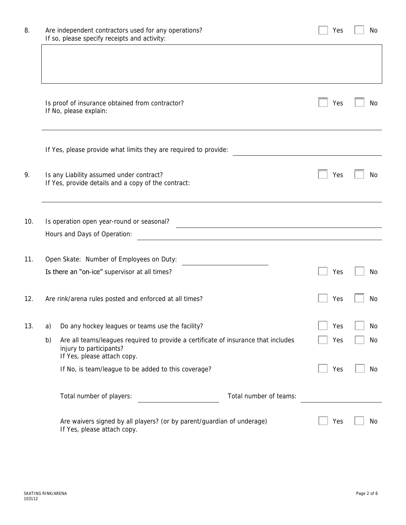| 8.  |    | Are independent contractors used for any operations?<br>If so, please specify receipts and activity:                                         | Yes | No.       |
|-----|----|----------------------------------------------------------------------------------------------------------------------------------------------|-----|-----------|
|     |    |                                                                                                                                              |     |           |
|     |    | Is proof of insurance obtained from contractor?<br>If No, please explain:                                                                    | Yes | No        |
|     |    | If Yes, please provide what limits they are required to provide:                                                                             |     |           |
| 9.  |    | Is any Liability assumed under contract?<br>If Yes, provide details and a copy of the contract:                                              | Yes | No.       |
| 10. |    | Is operation open year-round or seasonal?                                                                                                    |     |           |
|     |    | Hours and Days of Operation:                                                                                                                 |     |           |
| 11. |    | Open Skate: Number of Employees on Duty:                                                                                                     |     |           |
|     |    | Is there an "on-ice" supervisor at all times?                                                                                                | Yes | No        |
| 12. |    | Are rink/arena rules posted and enforced at all times?                                                                                       | Yes | No.       |
| 13. | a) | Do any hockey leagues or teams use the facility?                                                                                             | Yes | No        |
|     | b) | Are all teams/leagues required to provide a certificate of insurance that includes<br>injury to participants?<br>If Yes, please attach copy. | Yes | No        |
|     |    | If No, is team/league to be added to this coverage?                                                                                          | Yes | No        |
|     |    | Total number of teams:<br>Total number of players:                                                                                           |     |           |
|     |    | Are waivers signed by all players? (or by parent/guardian of underage)<br>If Yes, please attach copy.                                        | Yes | <b>No</b> |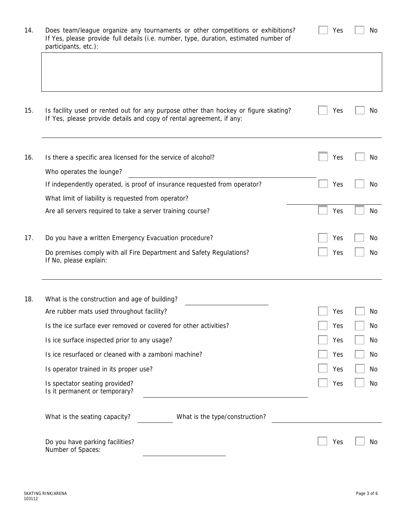| If Yes, please provide details and copy of rental agreement, if any:                          | Is facility used or rented out for any purpose other than hockey or figure skating? | Yes |  |
|-----------------------------------------------------------------------------------------------|-------------------------------------------------------------------------------------|-----|--|
| Is there a specific area licensed for the service of alcohol?                                 |                                                                                     | Yes |  |
| Who operates the lounge?                                                                      |                                                                                     |     |  |
| If independently operated, is proof of insurance requested from operator?                     |                                                                                     | Yes |  |
| What limit of liability is requested from operator?                                           |                                                                                     |     |  |
| Are all servers required to take a server training course?                                    |                                                                                     | Yes |  |
| Do you have a written Emergency Evacuation procedure?                                         |                                                                                     | Yes |  |
| Do premises comply with all Fire Department and Safety Regulations?<br>If No, please explain: |                                                                                     | Yes |  |
| What is the construction and age of building?                                                 |                                                                                     |     |  |
| Are rubber mats used throughout facility?                                                     |                                                                                     | Yes |  |
| Is the ice surface ever removed or covered for other activities?                              |                                                                                     | Yes |  |
| Is ice surface inspected prior to any usage?                                                  |                                                                                     | Yes |  |
| Is ice resurfaced or cleaned with a zamboni machine?                                          |                                                                                     | Yes |  |
| Is operator trained in its proper use?                                                        |                                                                                     | Yes |  |
| Is spectator seating provided?<br>Is it permanent or temporary?                               |                                                                                     | Yes |  |
| What is the seating capacity?                                                                 | What is the type/construction?                                                      |     |  |
| Do you have parking facilities?<br>Number of Spaces:                                          |                                                                                     | Yes |  |

14. Does team/league organize any tournaments or other competitions or exhibitions? If Yes, please provide full details (i.e. number, type, duration, estimated number of participants, etc.):

| Yρς |  | Nο |
|-----|--|----|
|-----|--|----|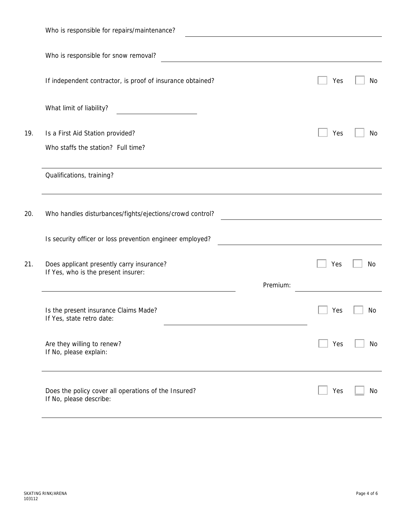|     | Who is responsible for repairs/maintenance?                                      |     |           |
|-----|----------------------------------------------------------------------------------|-----|-----------|
|     | Who is responsible for snow removal?                                             |     |           |
|     | If independent contractor, is proof of insurance obtained?                       | Yes | No        |
|     | What limit of liability?                                                         |     |           |
| 19. | Is a First Aid Station provided?                                                 | Yes | No        |
|     | Who staffs the station? Full time?                                               |     |           |
|     | Qualifications, training?                                                        |     |           |
| 20. | Who handles disturbances/fights/ejections/crowd control?                         |     |           |
|     | Is security officer or loss prevention engineer employed?                        |     |           |
| 21. | Does applicant presently carry insurance?<br>If Yes, who is the present insurer: | Yes | No        |
|     | Premium:                                                                         |     |           |
|     | Is the present insurance Claims Made?<br>If Yes, state retro date:               | Yes | <b>No</b> |
|     | Are they willing to renew?<br>If No, please explain:                             | Yes | No        |
|     | Does the policy cover all operations of the Insured?<br>If No, please describe:  | Yes | No        |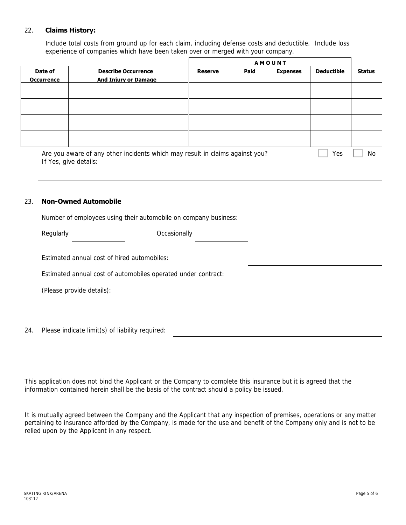### 22. **Claims History:**

Include total costs from ground up for each claim, including defense costs and deductible. Include loss experience of companies which have been taken over or merged with your company.

|                              | <b>Describe Occurrence</b><br><b>And Injury or Damage</b>                    | <b>AMOUNT</b>  |      |                 |                   |               |
|------------------------------|------------------------------------------------------------------------------|----------------|------|-----------------|-------------------|---------------|
| Date of<br><b>Occurrence</b> |                                                                              | <b>Reserve</b> | Paid | <b>Expenses</b> | <b>Deductible</b> | <b>Status</b> |
|                              |                                                                              |                |      |                 |                   |               |
|                              |                                                                              |                |      |                 |                   |               |
|                              |                                                                              |                |      |                 |                   |               |
|                              |                                                                              |                |      |                 |                   |               |
| If Yes, give details:        | Are you aware of any other incidents which may result in claims against you? |                |      |                 | Yes               | No.           |

#### 23. **Non-Owned Automobile**

Number of employees using their automobile on company business:

| Regularly                                                     | Occasionally |  |
|---------------------------------------------------------------|--------------|--|
| Estimated annual cost of hired automobiles:                   |              |  |
| Estimated annual cost of automobiles operated under contract: |              |  |
| (Please provide details):                                     |              |  |
|                                                               |              |  |
|                                                               |              |  |

24. Please indicate limit(s) of liability required:

This application does not bind the Applicant or the Company to complete this insurance but it is agreed that the information contained herein shall be the basis of the contract should a policy be issued.

It is mutually agreed between the Company and the Applicant that any inspection of premises, operations or any matter pertaining to insurance afforded by the Company, is made for the use and benefit of the Company only and is not to be relied upon by the Applicant in any respect.